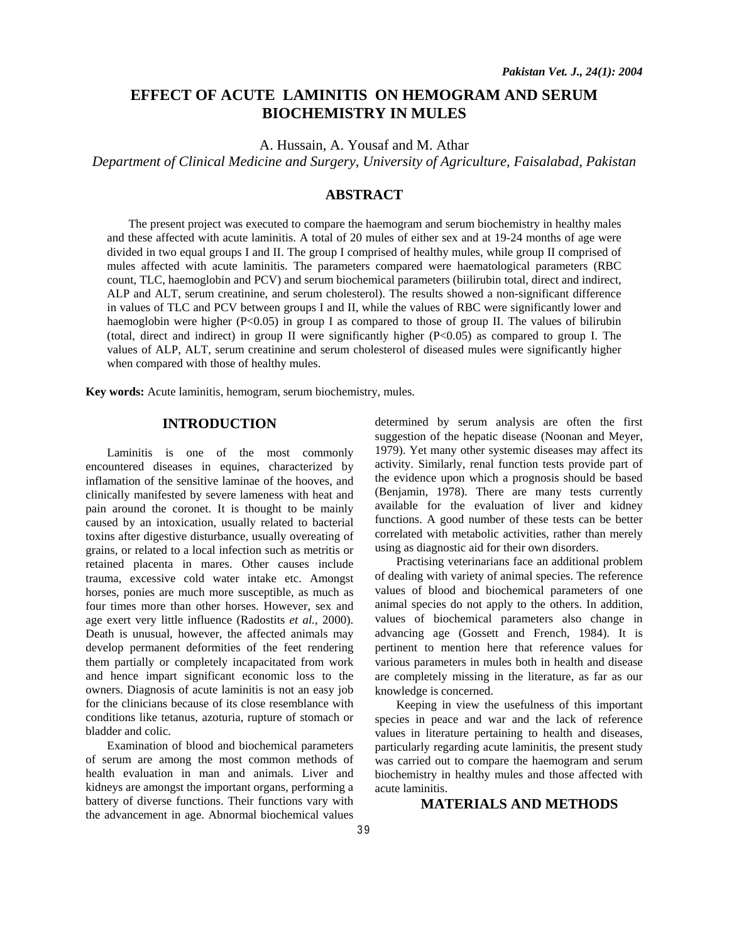# **EFFECT OF ACUTE LAMINITIS ON HEMOGRAM AND SERUM BIOCHEMISTRY IN MULES**

A. Hussain, A. Yousaf and M. Athar

*Department of Clinical Medicine and Surgery, University of Agriculture, Faisalabad, Pakistan* 

## **ABSTRACT**

The present project was executed to compare the haemogram and serum biochemistry in healthy males and these affected with acute laminitis. A total of 20 mules of either sex and at 19-24 months of age were divided in two equal groups I and II. The group I comprised of healthy mules, while group II comprised of mules affected with acute laminitis. The parameters compared were haematological parameters (RBC count, TLC, haemoglobin and PCV) and serum biochemical parameters (biilirubin total, direct and indirect, ALP and ALT, serum creatinine, and serum cholesterol). The results showed a non-significant difference in values of TLC and PCV between groups I and II, while the values of RBC were significantly lower and haemoglobin were higher (P<0.05) in group I as compared to those of group II. The values of bilirubin (total, direct and indirect) in group II were significantly higher (P<0.05) as compared to group I. The values of ALP, ALT, serum creatinine and serum cholesterol of diseased mules were significantly higher when compared with those of healthy mules.

**Key words:** Acute laminitis, hemogram, serum biochemistry, mules.

## **INTRODUCTION**

Laminitis is one of the most commonly encountered diseases in equines, characterized by inflamation of the sensitive laminae of the hooves, and clinically manifested by severe lameness with heat and pain around the coronet. It is thought to be mainly caused by an intoxication, usually related to bacterial toxins after digestive disturbance, usually overeating of grains, or related to a local infection such as metritis or retained placenta in mares. Other causes include trauma, excessive cold water intake etc. Amongst horses, ponies are much more susceptible, as much as four times more than other horses. However, sex and age exert very little influence (Radostits *et al.*, 2000). Death is unusual, however, the affected animals may develop permanent deformities of the feet rendering them partially or completely incapacitated from work and hence impart significant economic loss to the owners. Diagnosis of acute laminitis is not an easy job for the clinicians because of its close resemblance with conditions like tetanus, azoturia, rupture of stomach or bladder and colic.

Examination of blood and biochemical parameters of serum are among the most common methods of health evaluation in man and animals. Liver and kidneys are amongst the important organs, performing a battery of diverse functions. Their functions vary with the advancement in age. Abnormal biochemical values determined by serum analysis are often the first suggestion of the hepatic disease (Noonan and Meyer, 1979). Yet many other systemic diseases may affect its activity. Similarly, renal function tests provide part of the evidence upon which a prognosis should be based (Benjamin, 1978). There are many tests currently available for the evaluation of liver and kidney functions. A good number of these tests can be better correlated with metabolic activities, rather than merely using as diagnostic aid for their own disorders.

Practising veterinarians face an additional problem of dealing with variety of animal species. The reference values of blood and biochemical parameters of one animal species do not apply to the others. In addition, values of biochemical parameters also change in advancing age (Gossett and French, 1984). It is pertinent to mention here that reference values for various parameters in mules both in health and disease are completely missing in the literature, as far as our knowledge is concerned.

Keeping in view the usefulness of this important species in peace and war and the lack of reference values in literature pertaining to health and diseases, particularly regarding acute laminitis, the present study was carried out to compare the haemogram and serum biochemistry in healthy mules and those affected with acute laminitis.

# **MATERIALS AND METHODS**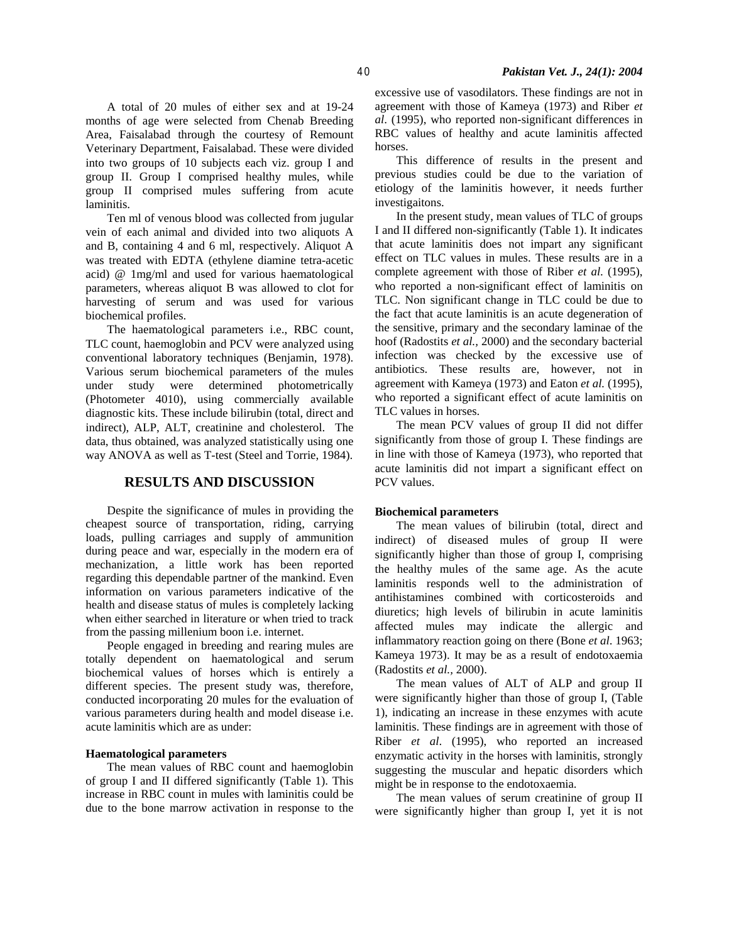A total of 20 mules of either sex and at 19-24 months of age were selected from Chenab Breeding Area, Faisalabad through the courtesy of Remount Veterinary Department, Faisalabad. These were divided into two groups of 10 subjects each viz. group I and group II. Group I comprised healthy mules, while group II comprised mules suffering from acute laminitis.

Ten ml of venous blood was collected from jugular vein of each animal and divided into two aliquots A and B, containing 4 and 6 ml, respectively. Aliquot A was treated with EDTA (ethylene diamine tetra-acetic acid) @ 1mg/ml and used for various haematological parameters, whereas aliquot B was allowed to clot for harvesting of serum and was used for various biochemical profiles.

The haematological parameters i.e., RBC count, TLC count, haemoglobin and PCV were analyzed using conventional laboratory techniques (Benjamin, 1978). Various serum biochemical parameters of the mules under study were determined photometrically (Photometer 4010), using commercially available diagnostic kits. These include bilirubin (total, direct and indirect), ALP, ALT, creatinine and cholesterol. The data, thus obtained, was analyzed statistically using one way ANOVA as well as T-test (Steel and Torrie, 1984).

### **RESULTS AND DISCUSSION**

Despite the significance of mules in providing the cheapest source of transportation, riding, carrying loads, pulling carriages and supply of ammunition during peace and war, especially in the modern era of mechanization, a little work has been reported regarding this dependable partner of the mankind. Even information on various parameters indicative of the health and disease status of mules is completely lacking when either searched in literature or when tried to track from the passing millenium boon i.e. internet.

People engaged in breeding and rearing mules are totally dependent on haematological and serum biochemical values of horses which is entirely a different species. The present study was, therefore, conducted incorporating 20 mules for the evaluation of various parameters during health and model disease i.e. acute laminitis which are as under:

#### **Haematological parameters**

The mean values of RBC count and haemoglobin of group I and II differed significantly (Table 1). This increase in RBC count in mules with laminitis could be due to the bone marrow activation in response to the excessive use of vasodilators. These findings are not in agreement with those of Kameya (1973) and Riber *et al*. (1995), who reported non-significant differences in RBC values of healthy and acute laminitis affected horses.

This difference of results in the present and previous studies could be due to the variation of etiology of the laminitis however, it needs further investigaitons.

In the present study, mean values of TLC of groups I and II differed non-significantly (Table 1). It indicates that acute laminitis does not impart any significant effect on TLC values in mules. These results are in a complete agreement with those of Riber *et al*. (1995), who reported a non-significant effect of laminitis on TLC. Non significant change in TLC could be due to the fact that acute laminitis is an acute degeneration of the sensitive, primary and the secondary laminae of the hoof (Radostits *et al.,* 2000) and the secondary bacterial infection was checked by the excessive use of antibiotics. These results are, however, not in agreement with Kameya (1973) and Eaton *et al.* (1995), who reported a significant effect of acute laminitis on TLC values in horses.

The mean PCV values of group II did not differ significantly from those of group I. These findings are in line with those of Kameya (1973), who reported that acute laminitis did not impart a significant effect on PCV values.

#### **Biochemical parameters**

The mean values of bilirubin (total, direct and indirect) of diseased mules of group II were significantly higher than those of group I, comprising the healthy mules of the same age. As the acute laminitis responds well to the administration of antihistamines combined with corticosteroids and diuretics; high levels of bilirubin in acute laminitis affected mules may indicate the allergic and inflammatory reaction going on there (Bone *et al*. 1963; Kameya 1973). It may be as a result of endotoxaemia (Radostits *et al.,* 2000).

The mean values of ALT of ALP and group II were significantly higher than those of group I, (Table 1), indicating an increase in these enzymes with acute laminitis. These findings are in agreement with those of Riber *et al*. (1995), who reported an increased enzymatic activity in the horses with laminitis, strongly suggesting the muscular and hepatic disorders which might be in response to the endotoxaemia.

The mean values of serum creatinine of group II were significantly higher than group I, yet it is not